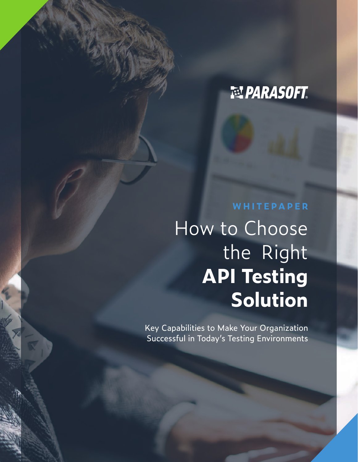# **NE PARASOFT**

# **WHITEPAPER**

How to Choose the Right **API Testing Solution**

Key Capabilities to Make Your Organization Successful in Today's Testing Environments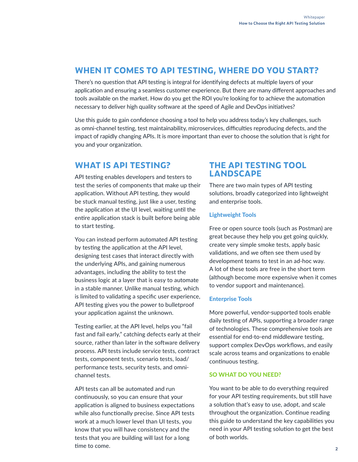# **WHEN IT COMES TO API TESTING, WHERE DO YOU START?**

There's no question that API testing is integral for identifying defects at multiple layers of your application and ensuring a seamless customer experience. But there are many different approaches and tools available on the market. How do you get the ROI you're looking for to achieve the automation necessary to deliver high quality software at the speed of Agile and DevOps initiatives?

Use this guide to gain confidence choosing a tool to help you address today's key challenges, such as omni-channel testing, test maintainability, microservices, difficulties reproducing defects, and the impact of rapidly changing APIs. It is more important than ever to choose the solution that is right for you and your organization.

# **WHAT IS API TESTING?**

API testing enables developers and testers to test the series of components that make up their application. Without API testing, they would be stuck manual testing, just like a user, testing the application at the UI level, waiting until the entire application stack is built before being able to start testing.

You can instead perform automated API testing by testing the application at the API level, designing test cases that interact directly with the underlying APIs, and gaining numerous advantages, including the ability to test the business logic at a layer that is easy to automate in a stable manner. Unlike manual testing, which is limited to validating a specific user experience, API testing gives you the power to bulletproof your application against the unknown.

Testing earlier, at the API level, helps you "fail fast and fail early," catching defects early at their source, rather than later in the software delivery process. API tests include service tests, contract tests, component tests, scenario tests, load/ performance tests, security tests, and omnichannel tests.

API tests can all be automated and run continuously, so you can ensure that your application is aligned to business expectations while also functionally precise. Since API tests work at a much lower level than UI tests, you know that you will have consistency and the tests that you are building will last for a long time to come.

# **THE API TESTING TOOL LANDSCAPE**

There are two main types of API testing solutions, broadly categorized into lightweight and enterprise tools.

# Lightweight Tools

Free or open source tools (such as Postman) are great because they help you get going quickly, create very simple smoke tests, apply basic validations, and we often see them used by development teams to test in an ad-hoc way. A lot of these tools are free in the short term (although become more expensive when it comes to vendor support and maintenance).

# Enterprise Tools

More powerful, vendor-supported tools enable daily testing of APIs, supporting a broader range of technologies. These comprehensive tools are essential for end-to-end middleware testing, support complex DevOps workflows, and easily scale across teams and organizations to enable continuous testing.

## SO WHAT DO YOU NEED?

You want to be able to do everything required for your API testing requirements, but still have a solution that's easy to use, adopt, and scale throughout the organization. Continue reading this guide to understand the key capabilities you need in your API testing solution to get the best of both worlds.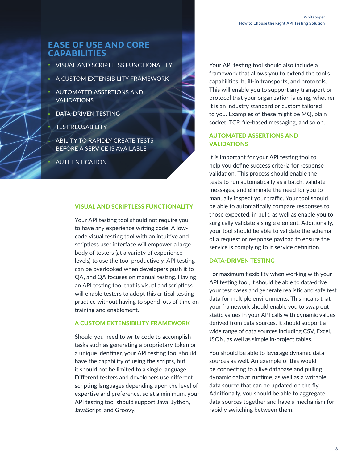# **EASE OF USE AND CORE CAPABILITIES**

- » VISUAL AND SCRIPTLESS FUNCTIONALITY
- » A CUSTOM EXTENSIBILITY FRAMEWORK
- » AUTOMATED ASSERTIONS AND **VALIDATIONS** 
	- » DATA-DRIVEN TESTING
	- » TEST REUSABILITY

» ABILITY TO RAPIDLY CREATE TESTS BEFORE A SERVICE IS AVAILABLE

» AUTHENTICATION

#### VISUAL AND SCRIPTLESS FUNCTIONALITY

Your API testing tool should not require you to have any experience writing code. A lowcode visual testing tool with an intuitive and scriptless user interface will empower a large body of testers (at a variety of experience levels) to use the tool productively. API testing can be overlooked when developers push it to QA, and QA focuses on manual testing. Having an API testing tool that is visual and scriptless will enable testers to adopt this critical testing practice without having to spend lots of time on training and enablement.

#### A CUSTOM EXTENSIBILITY FRAMEWORK

Should you need to write code to accomplish tasks such as generating a proprietary token or a unique identifier, your API testing tool should have the capability of using the scripts, but it should not be limited to a single language. Different testers and developers use different scripting languages depending upon the level of expertise and preference, so at a minimum, your API testing tool should support Java, Jython, JavaScript, and Groovy.

Your API testing tool should also include a framework that allows you to extend the tool's capabilities, built-in transports, and protocols. This will enable you to support any transport or protocol that your organization is using, whether it is an industry standard or custom tailored to you. Examples of these might be MQ, plain socket, TCP, file-based messaging, and so on.

# AUTOMATED ASSERTIONS AND VALIDATIONS

It is important for your API testing tool to help you define success criteria for response validation. This process should enable the tests to run automatically as a batch, validate messages, and eliminate the need for you to manually inspect your traffic. Your tool should be able to automatically compare responses to those expected, in bulk, as well as enable you to surgically validate a single element. Additionally, your tool should be able to validate the schema of a request or response payload to ensure the service is complying to it service definition.

#### DATA-DRIVEN TESTING

For maximum flexibility when working with your API testing tool, it should be able to data-drive your test cases and generate realistic and safe test data for multiple environments. This means that your framework should enable you to swap out static values in your API calls with dynamic values derived from data sources. It should support a wide range of data sources including CSV, Excel, JSON, as well as simple in-project tables.

You should be able to leverage dynamic data sources as well. An example of this would be connecting to a live database and pulling dynamic data at runtime, as well as a writable data source that can be updated on the fly. Additionally, you should be able to aggregate data sources together and have a mechanism for rapidly switching between them.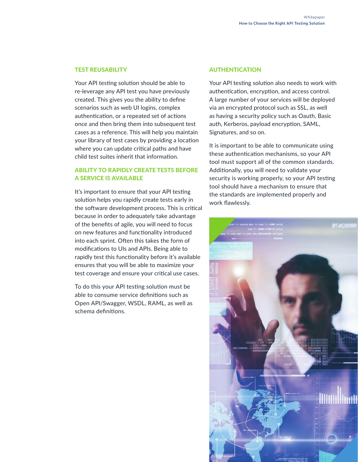#### TEST REUSABILITY

Your API testing solution should be able to re-leverage any API test you have previously created. This gives you the ability to define scenarios such as web UI logins, complex authentication, or a repeated set of actions once and then bring them into subsequent test cases as a reference. This will help you maintain your library of test cases by providing a location where you can update critical paths and have child test suites inherit that information.

# ABILITY TO RAPIDLY CREATE TESTS BEFORE A SERVICE IS AVAILABLE

It's important to ensure that your API testing solution helps you rapidly create tests early in the software development process. This is critical because in order to adequately take advantage of the benefits of agile, you will need to focus on new features and functionality introduced into each sprint. Often this takes the form of modifications to UIs and APIs. Being able to rapidly test this functionality before it's available ensures that you will be able to maximize your test coverage and ensure your critical use cases.

To do this your API testing solution must be able to consume service definitions such as Open API/Swagger, WSDL, RAML, as well as schema definitions.

#### AUTHENTICATION

Your API testing solution also needs to work with authentication, encryption, and access control. A large number of your services will be deployed via an encrypted protocol such as SSL, as well as having a security policy such as Oauth, Basic auth, Kerberos, payload encryption, SAML, Signatures, and so on.

It is important to be able to communicate using these authentication mechanisms, so your API tool must support all of the common standards. Additionally, you will need to validate your security is working properly, so your API testing tool should have a mechanism to ensure that the standards are implemented properly and work flawlessly.

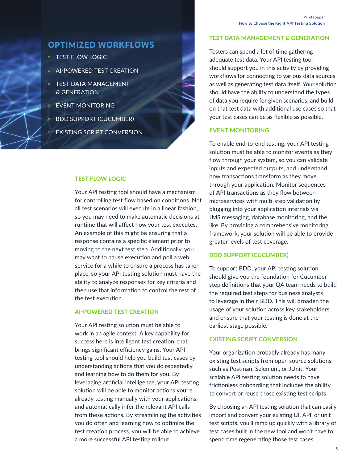# **OPTIMIZED WORKFLOWS**

- » TEST FLOW LOGIC
- » AI-POWERED TEST CREATION
- » TEST DATA MANAGEMENT & GENERATION
	- » EVENT MONITORING
	- » BDD SUPPORT (CUCUMBER)
	- » EXISTING SCRIPT CONVERSION

## TEST FLOW LOGIC

Your API testing tool should have a mechanism for controlling test flow based on conditions. Not all test scenarios will execute in a linear fashion, so you may need to make automatic decisions at runtime that will affect how your test executes. An example of this might be ensuring that a response contains a specific element prior to moving to the next test step. Additionally, you may want to pause execution and poll a web service for a while to ensure a process has taken place, so your API testing solution must have the ability to analyze responses for key criteria and then use that information to control the rest of the test execution.

#### AI-POWERED TEST CREATION

Your API testing solution must be able to work in an agile context. A key capability for success here is intelligent test creation, that brings significant efficiency gains. Your API testing tool should help you build test cases by understanding actions that you do repeatedly and learning how to do them for you. By leveraging artificial intelligence, your API testing solution will be able to monitor actions you're already testing manually with your applications, and automatically infer the relevant API calls from these actions. By streamlining the activities you do often and learning how to optimize the test creation process, you will be able to achieve a more successful API testing rollout.

#### TEST DATA MANAGEMENT & GENERATION

Testers can spend a lot of time gathering adequate test data. Your API testing tool should support you in this activity by providing workflows for connecting to various data sources as well as generating test data itself. Your solution should have the ability to understand the types of data you require for given scenarios, and build on that test data with additional use cases so that your test cases can be as flexible as possible.

# EVENT MONITORING

To enable end-to-end testing, your API testing solution must be able to monitor events as they flow through your system, so you can validate inputs and expected outputs, and understand how transactions transform as they move through your application. Monitor sequences of API transactions as they flow between microservices with multi-step validation by plugging into your application internals via JMS messaging, database monitoring, and the like. By providing a comprehensive monitoring framework, your solution will be able to provide greater levels of test coverage.

## BDD SUPPORT (CUCUMBER)

To support BDD, your API testing solution should give you the foundation for Cucumber step definitions that your QA team needs to build the required test steps for business analysts to leverage in their BDD. This will broaden the usage of your solution across key stakeholders and ensure that your testing is done at the earliest stage possible.

## EXISTING SCRIPT CONVERSION

Your organization probably already has many existing test scripts from open source solutions such as Postman, Selenium, or JUnit. Your scalable API testing solution needs to have frictionless onboarding that includes the ability to convert or reuse those existing test scripts.

By choosing an API testing solution that can easily import and convert your existing UI, API, or unit test scripts, you'll ramp up quickly with a library of test cases built in the new tool and won't have to spend time regenerating those test cases.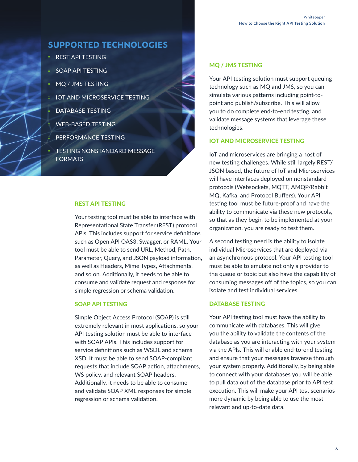# **SUPPORTED TECHNOLOGIES**

- » REST API TESTING
- » SOAP API TESTING
- » MQ / JMS TESTING
- **IOT AND MICROSERVICE TESTING**
- » DATABASE TESTING
- » WEB-BASED TESTING
- » PERFORMANCE TESTING
- » TESTING NONSTANDARD MESSAGE FORMATS

#### REST API TESTING

Your testing tool must be able to interface with Representational State Transfer (REST) protocol APIs. This includes support for service definitions such as Open API OAS3, Swagger, or RAML. Your tool must be able to send URL, Method, Path, Parameter, Query, and JSON payload information, as well as Headers, Mime Types, Attachments, and so on. Additionally, it needs to be able to consume and validate request and response for simple regression or schema validation.

#### SOAP API TESTING

Simple Object Access Protocol (SOAP) is still extremely relevant in most applications, so your API testing solution must be able to interface with SOAP APIs. This includes support for service definitions such as WSDL and schema XSD. It must be able to send SOAP-compliant requests that include SOAP action, attachments, WS policy, and relevant SOAP headers. Additionally, it needs to be able to consume and validate SOAP XML responses for simple regression or schema validation.

#### MQ / JMS TESTING

Your API testing solution must support queuing technology such as MQ and JMS, so you can simulate various patterns including point-topoint and publish/subscribe. This will allow you to do complete end-to-end testing, and validate message systems that leverage these technologies.

#### IOT AND MICROSERVICE TESTING

IoT and microservices are bringing a host of new testing challenges. While still largely REST/ JSON based, the future of IoT and Microservices will have interfaces deployed on nonstandard protocols (Websockets, MQTT, AMQP/Rabbit MQ, Kafka, and Protocol Buffers). Your API testing tool must be future-proof and have the ability to communicate via these new protocols, so that as they begin to be implemented at your organization, you are ready to test them.

A second testing need is the ability to isolate individual Microservices that are deployed via an asynchronous protocol. Your API testing tool must be able to emulate not only a provider to the queue or topic but also have the capability of consuming messages off of the topics, so you can isolate and test individual services.

#### DATABASE TESTING

Your API testing tool must have the ability to communicate with databases. This will give you the ability to validate the contents of the database as you are interacting with your system via the APIs. This will enable end-to-end testing and ensure that your messages traverse through your system properly. Additionally, by being able to connect with your databases you will be able to pull data out of the database prior to API test execution. This will make your API test scenarios more dynamic by being able to use the most relevant and up-to-date data.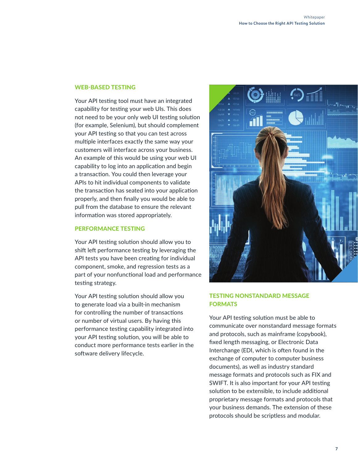#### WEB-BASED TESTING

Your API testing tool must have an integrated capability for testing your web UIs. This does not need to be your only web UI testing solution (for example, Selenium), but should complement your API testing so that you can test across multiple interfaces exactly the same way your customers will interface across your business. An example of this would be using your web UI capability to log into an application and begin a transaction. You could then leverage your APIs to hit individual components to validate the transaction has seated into your application properly, and then finally you would be able to pull from the database to ensure the relevant information was stored appropriately.

## PERFORMANCE TESTING

Your API testing solution should allow you to shift left performance testing by leveraging the API tests you have been creating for individual component, smoke, and regression tests as a part of your nonfunctional load and performance testing strategy.

Your API testing solution should allow you to generate load via a built-in mechanism for controlling the number of transactions or number of virtual users. By having this performance testing capability integrated into your API testing solution, you will be able to conduct more performance tests earlier in the software delivery lifecycle.



## TESTING NONSTANDARD MESSAGE **FORMATS**

Your API testing solution must be able to communicate over nonstandard message formats and protocols, such as mainframe (copybook), fixed length messaging, or Electronic Data Interchange (EDI, which is often found in the exchange of computer to computer business documents), as well as industry standard message formats and protocols such as FIX and SWIFT. It is also important for your API testing solution to be extensible, to include additional proprietary message formats and protocols that your business demands. The extension of these protocols should be scriptless and modular.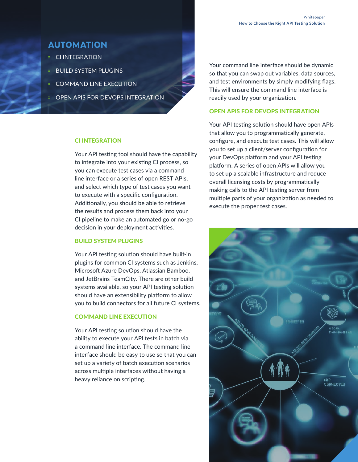# **AUTOMATION**

- » CI INTEGRATION
- » BUILD SYSTEM PLUGINS
- COMMAND LINE EXECUTION
	- » OPEN APIS FOR DEVOPS INTEGRATION

## CI INTEGRATION

Your API testing tool should have the capability to integrate into your existing CI process, so you can execute test cases via a command line interface or a series of open REST APIs, and select which type of test cases you want to execute with a specific configuration. Additionally, you should be able to retrieve the results and process them back into your CI pipeline to make an automated go or no-go decision in your deployment activities.

## BUILD SYSTEM PLUGINS

Your API testing solution should have built-in plugins for common CI systems such as Jenkins, Microsoft Azure DevOps, Atlassian Bamboo, and JetBrains TeamCity. There are other build systems available, so your API testing solution should have an extensibility platform to allow you to build connectors for all future CI systems.

#### COMMAND LINE EXECUTION

Your API testing solution should have the ability to execute your API tests in batch via a command line interface. The command line interface should be easy to use so that you can set up a variety of batch execution scenarios across multiple interfaces without having a heavy reliance on scripting.

Your command line interface should be dynamic so that you can swap out variables, data sources, and test environments by simply modifying flags. This will ensure the command line interface is readily used by your organization.

### OPEN APIS FOR DEVOPS INTEGRATION

Your API testing solution should have open APIs that allow you to programmatically generate, configure, and execute test cases. This will allow you to set up a client/server configuration for your DevOps platform and your API testing platform. A series of open APIs will allow you to set up a scalable infrastructure and reduce overall licensing costs by programmatically making calls to the API testing server from multiple parts of your organization as needed to execute the proper test cases.

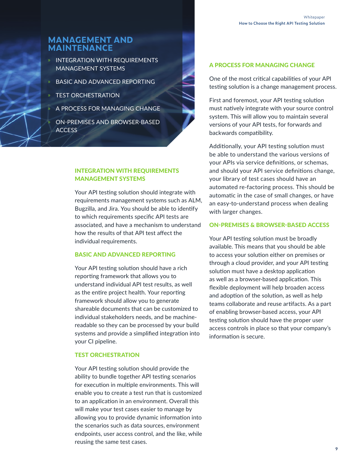# **MANAGEMENT AND MAINTENANCE**

- » INTEGRATION WITH REQUIREMENTS MANAGEMENT SYSTEMS
- » BASIC AND ADVANCED REPORTING
- » TEST ORCHESTRATION
- » A PROCESS FOR MANAGING CHANGE
- » ON-PREMISES AND BROWSER-BASED **ACCESS**

# INTEGRATION WITH REQUIREMENTS MANAGEMENT SYSTEMS

Your API testing solution should integrate with requirements management systems such as ALM, Bugzilla, and Jira. You should be able to identify to which requirements specific API tests are associated, and have a mechanism to understand how the results of that API test affect the individual requirements.

### BASIC AND ADVANCED REPORTING

Your API testing solution should have a rich reporting framework that allows you to understand individual API test results, as well as the entire project health. Your reporting framework should allow you to generate shareable documents that can be customized to individual stakeholders needs, and be machinereadable so they can be processed by your build systems and provide a simplified integration into your CI pipeline.

#### TEST ORCHESTRATION

Your API testing solution should provide the ability to bundle together API testing scenarios for execution in multiple environments. This will enable you to create a test run that is customized to an application in an environment. Overall this will make your test cases easier to manage by allowing you to provide dynamic information into the scenarios such as data sources, environment endpoints, user access control, and the like, while reusing the same test cases.

### A PROCESS FOR MANAGING CHANGE

One of the most critical capabilities of your API testing solution is a change management process.

First and foremost, your API testing solution must natively integrate with your source control system. This will allow you to maintain several versions of your API tests, for forwards and backwards compatibility.

Additionally, your API testing solution must be able to understand the various versions of your APIs via service definitions, or schemas, and should your API service definitions change, your library of test cases should have an automated re-factoring process. This should be automatic in the case of small changes, or have an easy-to-understand process when dealing with larger changes.

#### ON-PREMISES & BROWSER-BASED ACCESS

Your API testing solution must be broadly available. This means that you should be able to access your solution either on premises or through a cloud provider, and your API testing solution must have a desktop application as well as a browser-based application. This flexible deployment will help broaden access and adoption of the solution, as well as help teams collaborate and reuse artifacts. As a part of enabling browser-based access, your API testing solution should have the proper user access controls in place so that your company's information is secure.